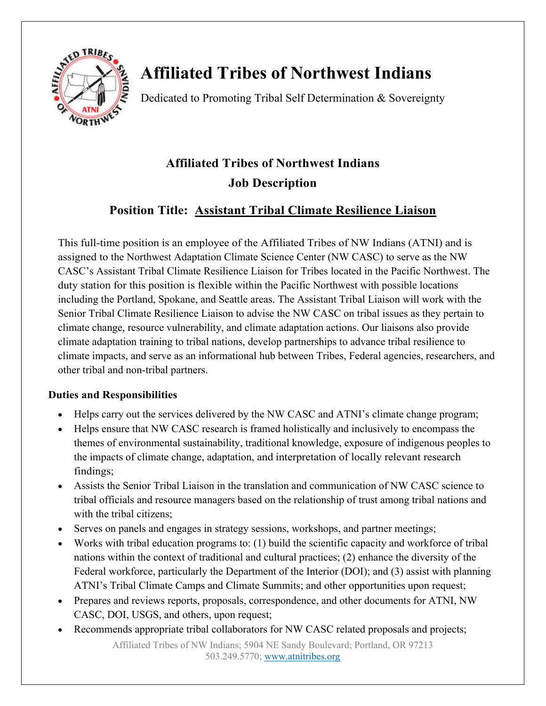

# **Affiliated Tribes of Northwest Indians**

Dedicated to Promoting Tribal Self Determination & Sovereignty

## **Affiliated Tribes of Northwest Indians Job Description**

## **Position Title: Assistant Tribal Climate Resilience Liaison**

This full-time position is an employee of the Affiliated Tribes of NW Indians (ATNI) and is assigned to the Northwest Adaptation Climate Science Center (NW CASC) to serve as the NW CASC's Assistant Tribal Climate Resilience Liaison for Tribes located in the Pacific Northwest. The duty station for this position is flexible within the Pacific Northwest with possible locations including the Portland, Spokane, and Seattle areas. The Assistant Tribal Liaison will work with the Senior Tribal Climate Resilience Liaison to advise the NW CASC on tribal issues as they pertain to climate change, resource vulnerability, and climate adaptation actions. Our liaisons also provide climate adaptation training to tribal nations, develop partnerships to advance tribal resilience to climate impacts, and serve as an informational hub between Tribes, Federal agencies, researchers, and other tribal and non-tribal partners.

#### **Duties and Responsibilities**

- Helps carry out the services delivered by the NW CASC and ATNI's climate change program;
- Helps ensure that NW CASC research is framed holistically and inclusively to encompass the themes of environmental sustainability, traditional knowledge, exposure of indigenous peoples to the impacts of climate change, adaptation, and interpretation of locally relevant research findings;
- Assists the Senior Tribal Liaison in the translation and communication of NW CASC science to tribal officials and resource managers based on the relationship of trust among tribal nations and with the tribal citizens;
- Serves on panels and engages in strategy sessions, workshops, and partner meetings;
- Works with tribal education programs to: (1) build the scientific capacity and workforce of tribal nations within the context of traditional and cultural practices; (2) enhance the diversity of the Federal workforce, particularly the Department of the Interior (DOI); and (3) assist with planning ATNI's Tribal Climate Camps and Climate Summits; and other opportunities upon request;
- Prepares and reviews reports, proposals, correspondence, and other documents for ATNI, NW CASC, DOI, USGS, and others, upon request;
- Recommends appropriate tribal collaborators for NW CASC related proposals and projects;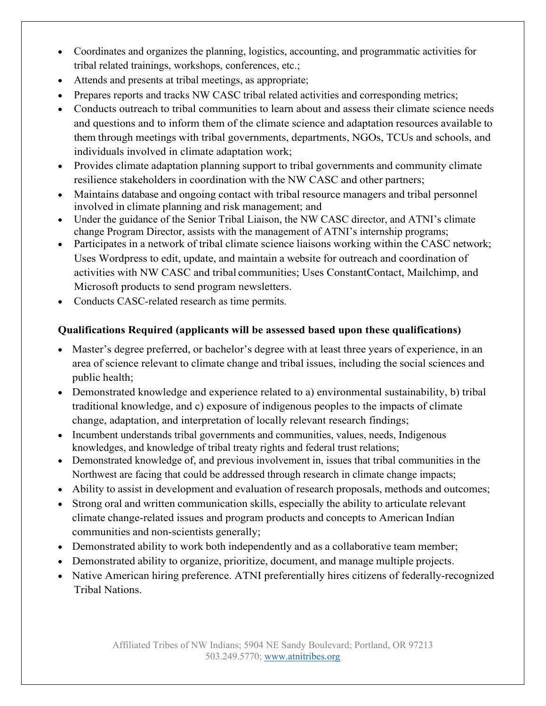- Coordinates and organizes the planning, logistics, accounting, and programmatic activities for tribal related trainings, workshops, conferences, etc.;
- Attends and presents at tribal meetings, as appropriate;
- Prepares reports and tracks NW CASC tribal related activities and corresponding metrics;
- Conducts outreach to tribal communities to learn about and assess their climate science needs and questions and to inform them of the climate science and adaptation resources available to them through meetings with tribal governments, departments, NGOs, TCUs and schools, and individuals involved in climate adaptation work;
- Provides climate adaptation planning support to tribal governments and community climate resilience stakeholders in coordination with the NW CASC and other partners;
- Maintains database and ongoing contact with tribal resource managers and tribal personnel involved in climate planning and risk management; and
- Under the guidance of the Senior Tribal Liaison, the NW CASC director, and ATNI's climate change Program Director, assists with the management of ATNI's internship programs;
- Participates in a network of tribal climate science liaisons working within the CASC network; Uses Wordpress to edit, update, and maintain a website for outreach and coordination of activities with NW CASC and tribal communities; Uses ConstantContact, Mailchimp, and Microsoft products to send program newsletters.
- Conducts CASC-related research as time permits.

### **Qualifications Required (applicants will be assessed based upon these qualifications)**

- Master's degree preferred, or bachelor's degree with at least three years of experience, in an area of science relevant to climate change and tribal issues, including the social sciences and public health;
- Demonstrated knowledge and experience related to a) environmental sustainability, b) tribal traditional knowledge, and c) exposure of indigenous peoples to the impacts of climate change, adaptation, and interpretation of locally relevant research findings;
- Incumbent understands tribal governments and communities, values, needs, Indigenous knowledges, and knowledge of tribal treaty rights and federal trust relations;
- Demonstrated knowledge of, and previous involvement in, issues that tribal communities in the Northwest are facing that could be addressed through research in climate change impacts;
- Ability to assist in development and evaluation of research proposals, methods and outcomes;
- Strong oral and written communication skills, especially the ability to articulate relevant climate change-related issues and program products and concepts to American Indian communities and non-scientists generally;
- Demonstrated ability to work both independently and as a collaborative team member;
- Demonstrated ability to organize, prioritize, document, and manage multiple projects.
- Native American hiring preference. ATNI preferentially hires citizens of federally-recognized Tribal Nations.